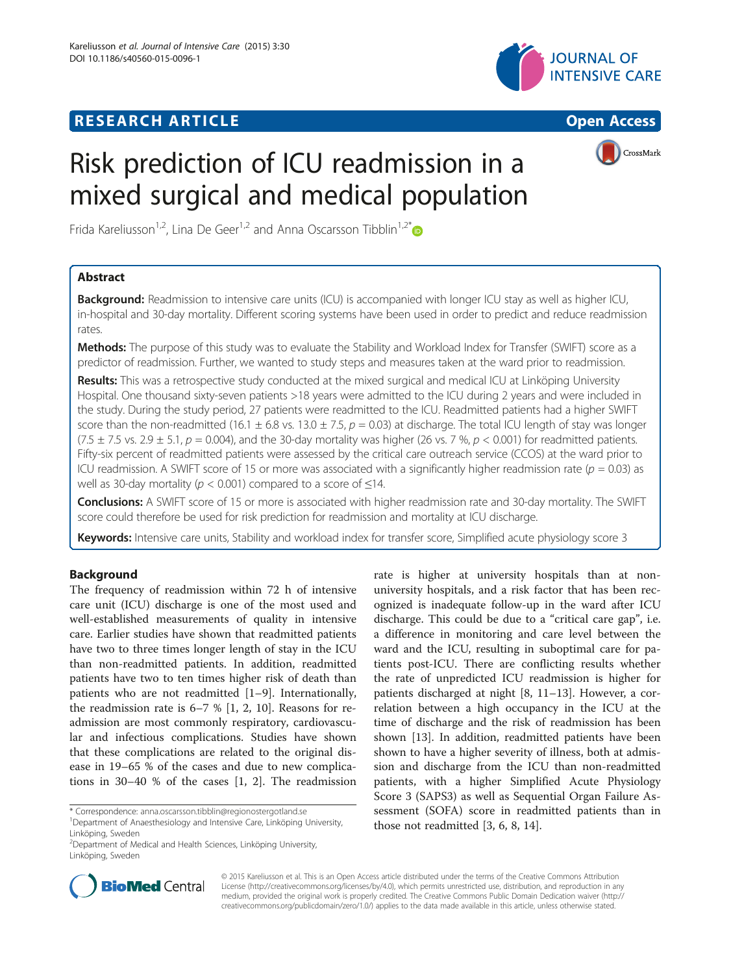## **RESEARCH ARTICLE Example 2014 12:30 THE Open Access**





CrossMark

# Risk prediction of ICU readmission in a mixed surgical and medical population

Frida Kareliusson<sup>1,2</sup>, Lina De Geer<sup>1,2</sup> and Anna Oscarsson Tibblin<sup>1,2\*</sup>

## Abstract

Background: Readmission to intensive care units (ICU) is accompanied with longer ICU stay as well as higher ICU, in-hospital and 30-day mortality. Different scoring systems have been used in order to predict and reduce readmission rates.

Methods: The purpose of this study was to evaluate the Stability and Workload Index for Transfer (SWIFT) score as a predictor of readmission. Further, we wanted to study steps and measures taken at the ward prior to readmission.

Results: This was a retrospective study conducted at the mixed surgical and medical ICU at Linköping University Hospital. One thousand sixty-seven patients >18 years were admitted to the ICU during 2 years and were included in the study. During the study period, 27 patients were readmitted to the ICU. Readmitted patients had a higher SWIFT score than the non-readmitted (16.1  $\pm$  6.8 vs. 13.0  $\pm$  7.5, p = 0.03) at discharge. The total ICU length of stay was longer  $(7.5 \pm 7.5 \text{ vs. } 2.9 \pm 5.1, p = 0.004)$ , and the 30-day mortality was higher (26 vs. 7 %,  $p < 0.001$ ) for readmitted patients. Fifty-six percent of readmitted patients were assessed by the critical care outreach service (CCOS) at the ward prior to ICU readmission. A SWIFT score of 15 or more was associated with a significantly higher readmission rate ( $p = 0.03$ ) as well as 30-day mortality ( $p < 0.001$ ) compared to a score of  $\leq 14$ .

Conclusions: A SWIFT score of 15 or more is associated with higher readmission rate and 30-day mortality. The SWIFT score could therefore be used for risk prediction for readmission and mortality at ICU discharge.

Keywords: Intensive care units, Stability and workload index for transfer score, Simplified acute physiology score 3

## Background

The frequency of readmission within 72 h of intensive care unit (ICU) discharge is one of the most used and well-established measurements of quality in intensive care. Earlier studies have shown that readmitted patients have two to three times longer length of stay in the ICU than non-readmitted patients. In addition, readmitted patients have two to ten times higher risk of death than patients who are not readmitted [[1](#page-7-0)–[9\]](#page-7-0). Internationally, the readmission rate is  $6-7$  % [\[1](#page-7-0), [2, 10](#page-7-0)]. Reasons for readmission are most commonly respiratory, cardiovascular and infectious complications. Studies have shown that these complications are related to the original disease in 19–65 % of the cases and due to new complications in 30–40 % of the cases [\[1](#page-7-0), [2\]](#page-7-0). The readmission

\* Correspondence: [anna.oscarsson.tibblin@regionostergotland.se](mailto:anna.oscarsson.tibblin@regionostergotland.se) <sup>1</sup>

<sup>2</sup> Department of Medical and Health Sciences, Linköping University, Linköping, Sweden





© 2015 Kareliusson et al. This is an Open Access article distributed under the terms of the Creative Commons Attribution License (<http://creativecommons.org/licenses/by/4.0>), which permits unrestricted use, distribution, and reproduction in any medium, provided the original work is properly credited. The Creative Commons Public Domain Dedication waiver [\(http://](http://creativecommons.org/publicdomain/zero/1.0/) [creativecommons.org/publicdomain/zero/1.0/\)](http://creativecommons.org/publicdomain/zero/1.0/) applies to the data made available in this article, unless otherwise stated.

Department of Anaesthesiology and Intensive Care, Linköping University, Linköping, Sweden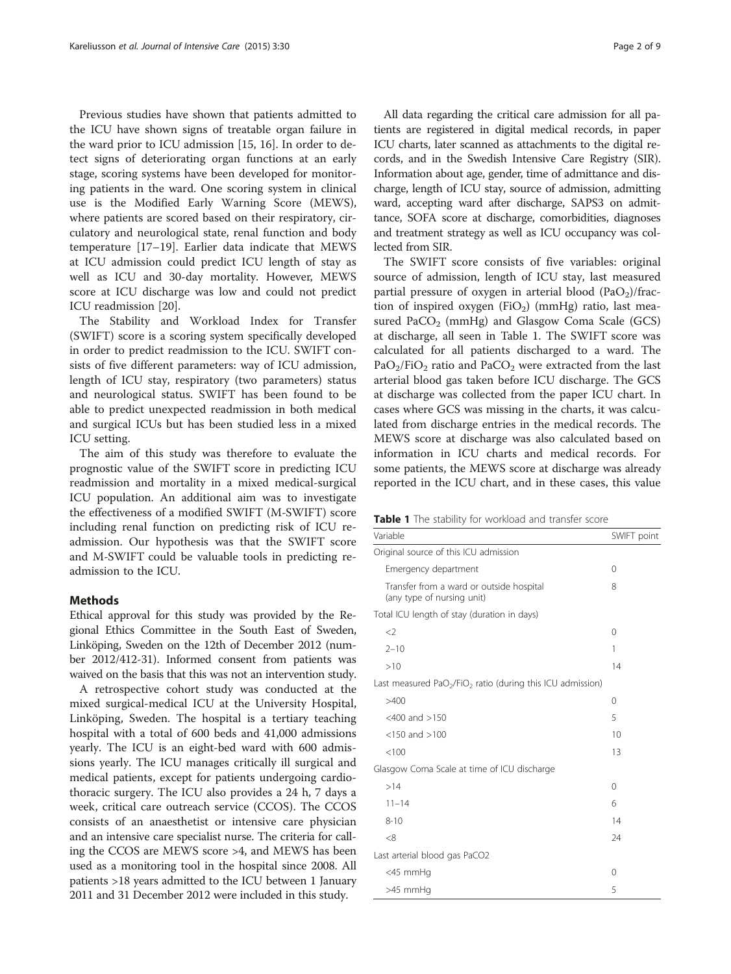Previous studies have shown that patients admitted to the ICU have shown signs of treatable organ failure in the ward prior to ICU admission [[15, 16\]](#page-7-0). In order to detect signs of deteriorating organ functions at an early stage, scoring systems have been developed for monitoring patients in the ward. One scoring system in clinical use is the Modified Early Warning Score (MEWS), where patients are scored based on their respiratory, circulatory and neurological state, renal function and body temperature [[17](#page-7-0)–[19](#page-8-0)]. Earlier data indicate that MEWS at ICU admission could predict ICU length of stay as well as ICU and 30-day mortality. However, MEWS score at ICU discharge was low and could not predict ICU readmission [\[20\]](#page-8-0).

The Stability and Workload Index for Transfer (SWIFT) score is a scoring system specifically developed in order to predict readmission to the ICU. SWIFT consists of five different parameters: way of ICU admission, length of ICU stay, respiratory (two parameters) status and neurological status. SWIFT has been found to be able to predict unexpected readmission in both medical and surgical ICUs but has been studied less in a mixed ICU setting.

The aim of this study was therefore to evaluate the prognostic value of the SWIFT score in predicting ICU readmission and mortality in a mixed medical-surgical ICU population. An additional aim was to investigate the effectiveness of a modified SWIFT (M-SWIFT) score including renal function on predicting risk of ICU readmission. Our hypothesis was that the SWIFT score and M-SWIFT could be valuable tools in predicting readmission to the ICU.

## Methods

Ethical approval for this study was provided by the Regional Ethics Committee in the South East of Sweden, Linköping, Sweden on the 12th of December 2012 (number 2012/412-31). Informed consent from patients was waived on the basis that this was not an intervention study.

A retrospective cohort study was conducted at the mixed surgical-medical ICU at the University Hospital, Linköping, Sweden. The hospital is a tertiary teaching hospital with a total of 600 beds and 41,000 admissions yearly. The ICU is an eight-bed ward with 600 admissions yearly. The ICU manages critically ill surgical and medical patients, except for patients undergoing cardiothoracic surgery. The ICU also provides a 24 h, 7 days a week, critical care outreach service (CCOS). The CCOS consists of an anaesthetist or intensive care physician and an intensive care specialist nurse. The criteria for calling the CCOS are MEWS score >4, and MEWS has been used as a monitoring tool in the hospital since 2008. All patients >18 years admitted to the ICU between 1 January 2011 and 31 December 2012 were included in this study.

All data regarding the critical care admission for all patients are registered in digital medical records, in paper ICU charts, later scanned as attachments to the digital records, and in the Swedish Intensive Care Registry (SIR). Information about age, gender, time of admittance and discharge, length of ICU stay, source of admission, admitting ward, accepting ward after discharge, SAPS3 on admittance, SOFA score at discharge, comorbidities, diagnoses and treatment strategy as well as ICU occupancy was collected from SIR.

The SWIFT score consists of five variables: original source of admission, length of ICU stay, last measured partial pressure of oxygen in arterial blood  $(PaO<sub>2</sub>)/frac$ tion of inspired oxygen  $(FiO<sub>2</sub>)$  (mmHg) ratio, last measured PaCO<sub>2</sub> (mmHg) and Glasgow Coma Scale (GCS) at discharge, all seen in Table 1. The SWIFT score was calculated for all patients discharged to a ward. The  $PaO<sub>2</sub>/FiO<sub>2</sub>$  ratio and PaCO<sub>2</sub> were extracted from the last arterial blood gas taken before ICU discharge. The GCS at discharge was collected from the paper ICU chart. In cases where GCS was missing in the charts, it was calculated from discharge entries in the medical records. The MEWS score at discharge was also calculated based on information in ICU charts and medical records. For some patients, the MEWS score at discharge was already reported in the ICU chart, and in these cases, this value

|  |  |  |  |  | Table 1 The stability for workload and transfer score |  |  |  |
|--|--|--|--|--|-------------------------------------------------------|--|--|--|
|--|--|--|--|--|-------------------------------------------------------|--|--|--|

| Variable                                                               | SWIFT point |  |  |  |
|------------------------------------------------------------------------|-------------|--|--|--|
| Original source of this ICU admission                                  |             |  |  |  |
| Emergency department                                                   | 0           |  |  |  |
| Transfer from a ward or outside hospital<br>(any type of nursing unit) | 8           |  |  |  |
| Total ICU length of stay (duration in days)                            |             |  |  |  |
| $\langle$                                                              | 0           |  |  |  |
| $2 - 10$                                                               | 1           |  |  |  |
| >10                                                                    | 14          |  |  |  |
| Last measured $PaO2/FiO2$ ratio (during this ICU admission)            |             |  |  |  |
| >400                                                                   | 0           |  |  |  |
| $<$ 400 and $>$ 150                                                    | 5           |  |  |  |
| $<$ 150 and $>$ 100                                                    | 10          |  |  |  |
| < 100                                                                  | 13          |  |  |  |
| Glasgow Coma Scale at time of ICU discharge                            |             |  |  |  |
| >14                                                                    | 0           |  |  |  |
| $11 - 14$                                                              | 6           |  |  |  |
| $8 - 10$                                                               | 14          |  |  |  |
| <8                                                                     | 24          |  |  |  |
| Last arterial blood gas PaCO2                                          |             |  |  |  |
| <45 mmHg                                                               | 0           |  |  |  |
| >45 mmHq                                                               | 5           |  |  |  |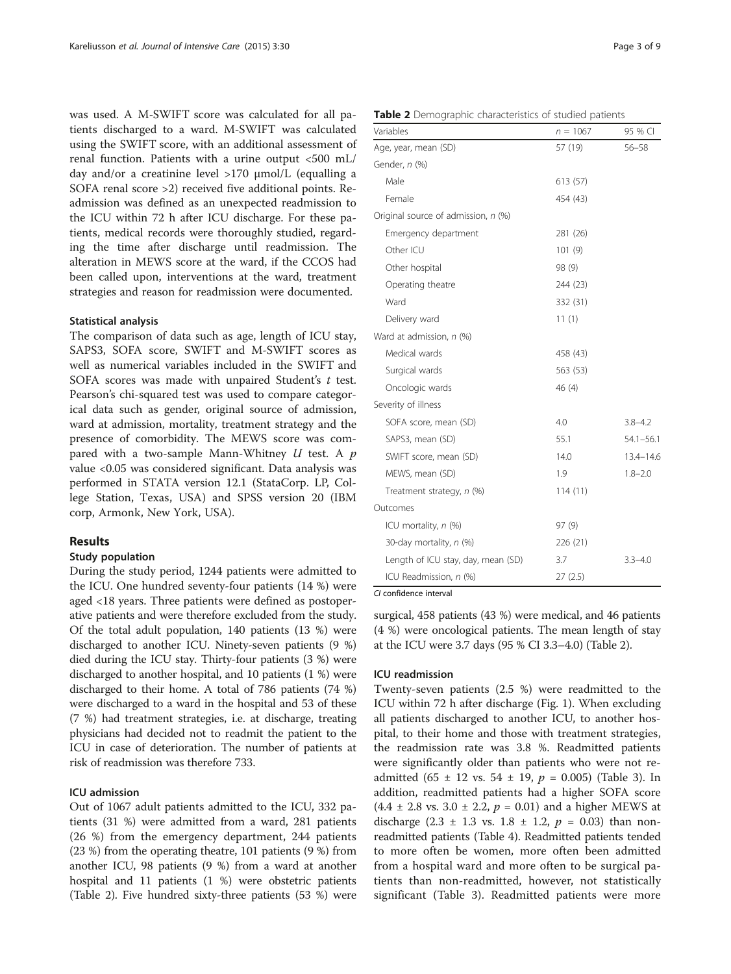was used. A M-SWIFT score was calculated for all patients discharged to a ward. M-SWIFT was calculated using the SWIFT score, with an additional assessment of renal function. Patients with a urine output <500 mL/ day and/or a creatinine level >170 μmol/L (equalling a SOFA renal score >2) received five additional points. Readmission was defined as an unexpected readmission to the ICU within 72 h after ICU discharge. For these patients, medical records were thoroughly studied, regarding the time after discharge until readmission. The alteration in MEWS score at the ward, if the CCOS had been called upon, interventions at the ward, treatment strategies and reason for readmission were documented.

#### Statistical analysis

The comparison of data such as age, length of ICU stay, SAPS3, SOFA score, SWIFT and M-SWIFT scores as well as numerical variables included in the SWIFT and SOFA scores was made with unpaired Student's t test. Pearson's chi-squared test was used to compare categorical data such as gender, original source of admission, ward at admission, mortality, treatment strategy and the presence of comorbidity. The MEWS score was compared with a two-sample Mann-Whitney  $U$  test. A  $p$ value <0.05 was considered significant. Data analysis was performed in STATA version 12.1 (StataCorp. LP, College Station, Texas, USA) and SPSS version 20 (IBM corp, Armonk, New York, USA).

#### Results

#### Study population

During the study period, 1244 patients were admitted to the ICU. One hundred seventy-four patients (14 %) were aged <18 years. Three patients were defined as postoperative patients and were therefore excluded from the study. Of the total adult population, 140 patients (13 %) were discharged to another ICU. Ninety-seven patients (9 %) died during the ICU stay. Thirty-four patients (3 %) were discharged to another hospital, and 10 patients (1 %) were discharged to their home. A total of 786 patients (74 %) were discharged to a ward in the hospital and 53 of these (7 %) had treatment strategies, i.e. at discharge, treating physicians had decided not to readmit the patient to the ICU in case of deterioration. The number of patients at risk of readmission was therefore 733.

## ICU admission

Out of 1067 adult patients admitted to the ICU, 332 patients (31 %) were admitted from a ward, 281 patients (26 %) from the emergency department, 244 patients (23 %) from the operating theatre, 101 patients (9 %) from another ICU, 98 patients (9 %) from a ward at another hospital and 11 patients (1 %) were obstetric patients (Table 2). Five hundred sixty-three patients (53 %) were

| Table 2 Demographic characteristics of studied patients |  |
|---------------------------------------------------------|--|
|---------------------------------------------------------|--|

| Variables                           | $n = 1067$ | 95 % CI       |
|-------------------------------------|------------|---------------|
| Age, year, mean (SD)                | 57 (19)    | $56 - 58$     |
| Gender, n (%)                       |            |               |
| Male                                | 613 (57)   |               |
| Female                              | 454 (43)   |               |
| Original source of admission, n (%) |            |               |
| Emergency department                | 281 (26)   |               |
| Other ICU                           | 101(9)     |               |
| Other hospital                      | 98 (9)     |               |
| Operating theatre                   | 244 (23)   |               |
| Ward                                | 332 (31)   |               |
| Delivery ward                       | 11(1)      |               |
| Ward at admission, n (%)            |            |               |
| Medical wards                       | 458 (43)   |               |
| Surgical wards                      | 563 (53)   |               |
| Oncologic wards                     | 46(4)      |               |
| Severity of illness                 |            |               |
| SOFA score, mean (SD)               | 4.0        | $3.8 - 4.2$   |
| SAPS3, mean (SD)                    | 55.1       | $54.1 - 56.1$ |
| SWIFT score, mean (SD)              | 14.0       | 13.4-14.6     |
| MEWS, mean (SD)                     | 1.9        | $1.8 - 2.0$   |
| Treatment strategy, n (%)           | 114(11)    |               |
| Outcomes                            |            |               |
| ICU mortality, $n$ (%)              | 97(9)      |               |
| 30-day mortality, n (%)             | 226 (21)   |               |
| Length of ICU stay, day, mean (SD)  | 3.7        | $3.3 - 4.0$   |
| ICU Readmission, n (%)              | 27(2.5)    |               |

CI confidence interval

surgical, 458 patients (43 %) were medical, and 46 patients (4 %) were oncological patients. The mean length of stay at the ICU were 3.7 days (95 % CI 3.3–4.0) (Table 2).

### ICU readmission

Twenty-seven patients (2.5 %) were readmitted to the ICU within 72 h after discharge (Fig. [1](#page-3-0)). When excluding all patients discharged to another ICU, to another hospital, to their home and those with treatment strategies, the readmission rate was 3.8 %. Readmitted patients were significantly older than patients who were not readmitted (65  $\pm$  12 vs. 54  $\pm$  19,  $p = 0.005$ ) (Table [3\)](#page-4-0). In addition, readmitted patients had a higher SOFA score  $(4.4 \pm 2.8 \text{ vs. } 3.0 \pm 2.2, p = 0.01)$  and a higher MEWS at discharge (2.3  $\pm$  1.3 vs. 1.8  $\pm$  1.2,  $p = 0.03$ ) than nonreadmitted patients (Table [4](#page-5-0)). Readmitted patients tended to more often be women, more often been admitted from a hospital ward and more often to be surgical patients than non-readmitted, however, not statistically significant (Table [3](#page-4-0)). Readmitted patients were more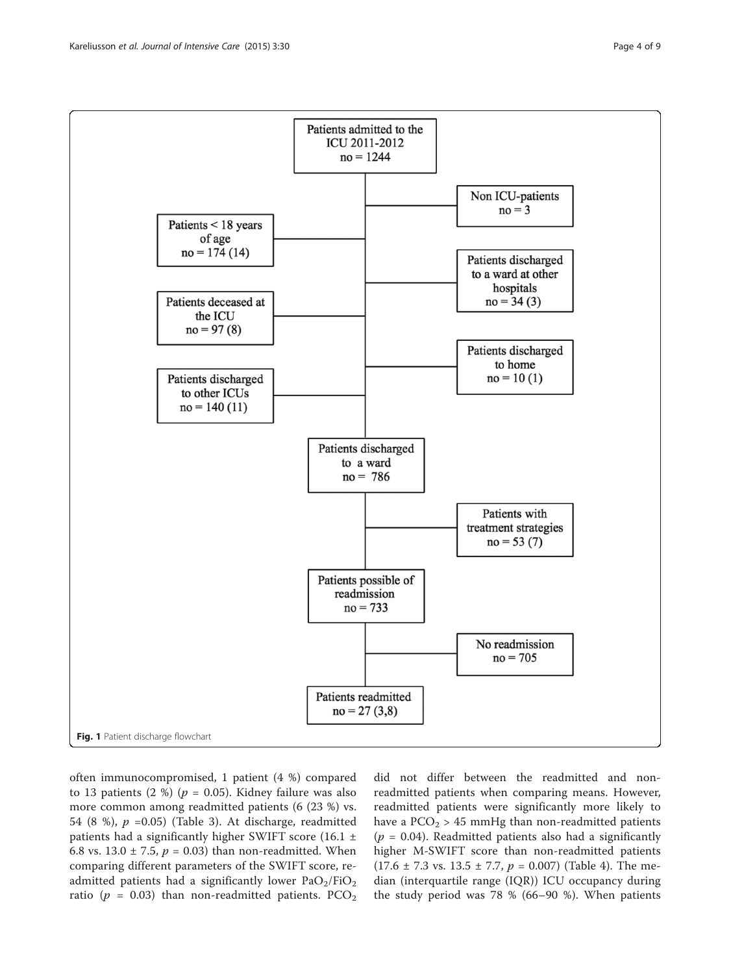<span id="page-3-0"></span>

often immunocompromised, 1 patient (4 %) compared to 13 patients (2 %) ( $p = 0.05$ ). Kidney failure was also more common among readmitted patients (6 (23 %) vs. 54 (8 %),  $p = 0.05$ ) (Table [3](#page-4-0)). At discharge, readmitted patients had a significantly higher SWIFT score (16.1  $\pm$ 6.8 vs. 13.0  $\pm$  7.5,  $p = 0.03$ ) than non-readmitted. When comparing different parameters of the SWIFT score, readmitted patients had a significantly lower  $PaO<sub>2</sub>/FiO<sub>2</sub>$ ratio ( $p = 0.03$ ) than non-readmitted patients. PCO<sub>2</sub> did not differ between the readmitted and nonreadmitted patients when comparing means. However, readmitted patients were significantly more likely to have a  $PCO<sub>2</sub>$  > 45 mmHg than non-readmitted patients  $(p = 0.04)$ . Readmitted patients also had a significantly higher M-SWIFT score than non-readmitted patients  $(17.6 \pm 7.3 \text{ vs. } 13.5 \pm 7.7, p = 0.007)$  (Table [4\)](#page-5-0). The median (interquartile range (IQR)) ICU occupancy during the study period was 78 % (66–90 %). When patients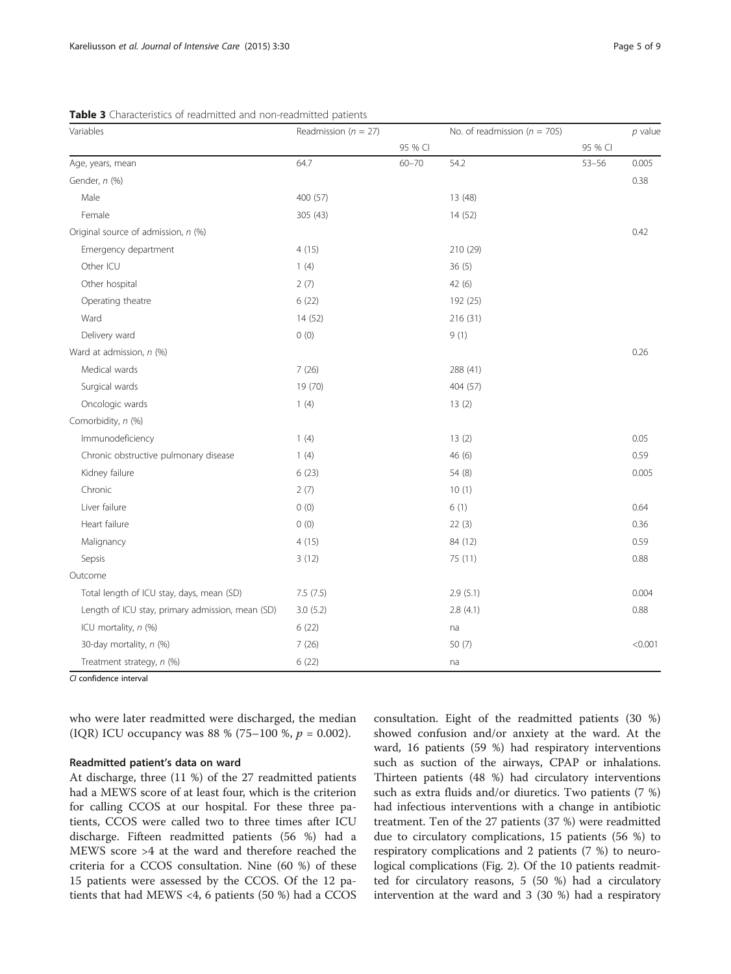| Variables                                        | Readmission ( $n = 27$ ) |           | No. of readmission ( $n = 705$ ) |           | $p$ value |
|--------------------------------------------------|--------------------------|-----------|----------------------------------|-----------|-----------|
|                                                  |                          | 95 % CI   |                                  | 95 % CI   |           |
| Age, years, mean                                 | 64.7                     | $60 - 70$ | 54.2                             | $53 - 56$ | 0.005     |
| Gender, n (%)                                    |                          |           |                                  |           | 0.38      |
| Male                                             | 400 (57)                 |           | 13 (48)                          |           |           |
| Female                                           | 305 (43)                 |           | 14(52)                           |           |           |
| Original source of admission, n (%)              |                          |           |                                  |           | 0.42      |
| Emergency department                             | 4(15)                    |           | 210 (29)                         |           |           |
| Other ICU                                        | 1(4)                     |           | 36(5)                            |           |           |
| Other hospital                                   | 2(7)                     |           | 42 (6)                           |           |           |
| Operating theatre                                | 6(22)                    |           | 192 (25)                         |           |           |
| Ward                                             | 14(52)                   |           | 216 (31)                         |           |           |
| Delivery ward                                    | 0(0)                     |           | 9(1)                             |           |           |
| Ward at admission, n (%)                         |                          |           |                                  |           | 0.26      |
| Medical wards                                    | 7(26)                    |           | 288 (41)                         |           |           |
| Surgical wards                                   | 19 (70)                  |           | 404 (57)                         |           |           |
| Oncologic wards                                  | 1(4)                     |           | 13(2)                            |           |           |
| Comorbidity, n (%)                               |                          |           |                                  |           |           |
| Immunodeficiency                                 | 1(4)                     |           | 13(2)                            |           | 0.05      |
| Chronic obstructive pulmonary disease            | 1(4)                     |           | 46(6)                            |           | 0.59      |
| Kidney failure                                   | 6(23)                    |           | 54 (8)                           |           | 0.005     |
| Chronic                                          | 2(7)                     |           | 10(1)                            |           |           |
| Liver failure                                    | 0(0)                     |           | 6(1)                             |           | 0.64      |
| Heart failure                                    | 0(0)                     |           | 22(3)                            |           | 0.36      |
| Malignancy                                       | 4(15)                    |           | 84 (12)                          |           | 0.59      |
| Sepsis                                           | 3(12)                    |           | 75 (11)                          |           | 0.88      |
| Outcome                                          |                          |           |                                  |           |           |
| Total length of ICU stay, days, mean (SD)        | 7.5(7.5)                 |           | 2.9(5.1)                         |           | 0.004     |
| Length of ICU stay, primary admission, mean (SD) | 3.0(5.2)                 |           | 2.8(4.1)                         |           | 0.88      |
| ICU mortality, n (%)                             | 6(22)                    |           | na                               |           |           |
| 30-day mortality, n (%)                          | 7(26)                    |           | 50 (7)                           |           | < 0.001   |
| Treatment strategy, n (%)                        | 6(22)                    |           | na                               |           |           |

<span id="page-4-0"></span>Table 3 Characteristics of readmitted and non-readmitted patients

CI confidence interval

who were later readmitted were discharged, the median (IQR) ICU occupancy was 88 % (75–100 %,  $p = 0.002$ ).

#### Readmitted patient's data on ward

At discharge, three (11 %) of the 27 readmitted patients had a MEWS score of at least four, which is the criterion for calling CCOS at our hospital. For these three patients, CCOS were called two to three times after ICU discharge. Fifteen readmitted patients (56 %) had a MEWS score >4 at the ward and therefore reached the criteria for a CCOS consultation. Nine (60 %) of these 15 patients were assessed by the CCOS. Of the 12 patients that had MEWS <4, 6 patients (50 %) had a CCOS consultation. Eight of the readmitted patients (30 %) showed confusion and/or anxiety at the ward. At the ward, 16 patients (59 %) had respiratory interventions such as suction of the airways, CPAP or inhalations. Thirteen patients (48 %) had circulatory interventions such as extra fluids and/or diuretics. Two patients (7 %) had infectious interventions with a change in antibiotic treatment. Ten of the 27 patients (37 %) were readmitted due to circulatory complications, 15 patients (56 %) to respiratory complications and 2 patients (7 %) to neurological complications (Fig. [2](#page-5-0)). Of the 10 patients readmitted for circulatory reasons, 5 (50 %) had a circulatory intervention at the ward and 3 (30 %) had a respiratory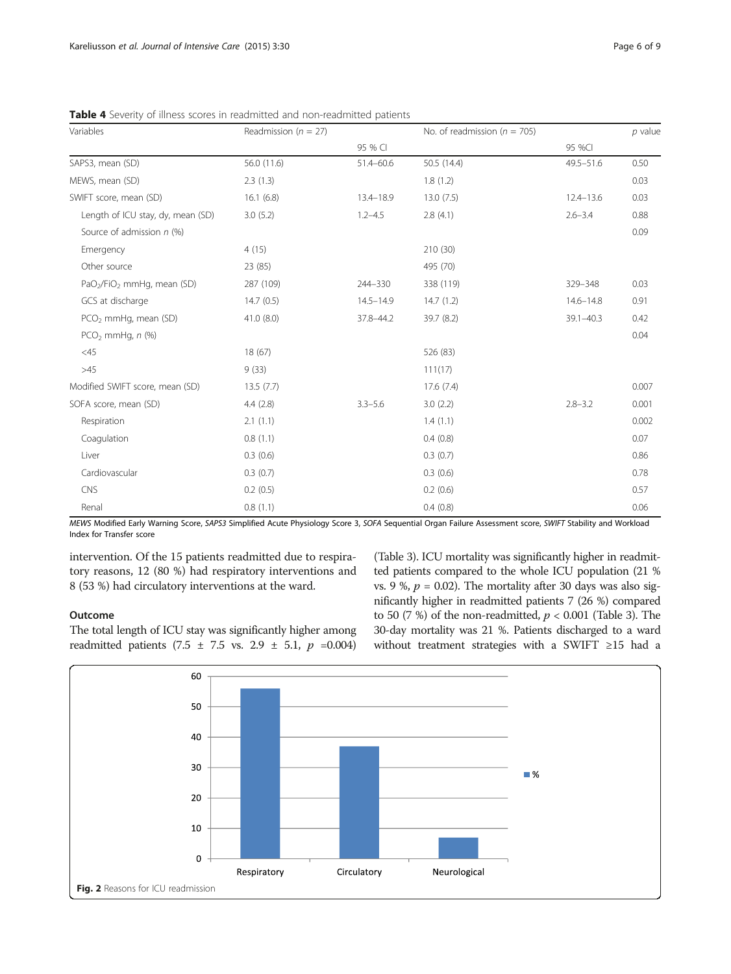| Variables                                          | Readmission ( $n = 27$ ) |               | No. of readmission ( $n = 705$ ) |               | $p$ value |
|----------------------------------------------------|--------------------------|---------------|----------------------------------|---------------|-----------|
|                                                    |                          | 95 % CI       |                                  | 95 %CI        |           |
| SAPS3, mean (SD)                                   | 56.0 (11.6)              | 51.4-60.6     | 50.5 (14.4)                      | $49.5 - 51.6$ | 0.50      |
| MEWS, mean (SD)                                    | 2.3(1.3)                 |               | 1.8(1.2)                         |               | 0.03      |
| SWIFT score, mean (SD)                             | 16.1(6.8)                | 13.4-18.9     | 13.0(7.5)                        | $12.4 - 13.6$ | 0.03      |
| Length of ICU stay, dy, mean (SD)                  | 3.0(5.2)                 | $1.2 - 4.5$   | 2.8(4.1)                         | $2.6 - 3.4$   | 0.88      |
| Source of admission $n$ (%)                        |                          |               |                                  |               | 0.09      |
| Emergency                                          | 4(15)                    |               | 210 (30)                         |               |           |
| Other source                                       | 23 (85)                  |               | 495 (70)                         |               |           |
| PaO <sub>2</sub> /FiO <sub>2</sub> mmHg, mean (SD) | 287 (109)                | 244-330       | 338 (119)                        | 329-348       | 0.03      |
| GCS at discharge                                   | 14.7(0.5)                | $14.5 - 14.9$ | 14.7(1.2)                        | $14.6 - 14.8$ | 0.91      |
| PCO <sub>2</sub> mmHg, mean (SD)                   | 41.0(8.0)                | 37.8-44.2     | 39.7 (8.2)                       | $39.1 - 40.3$ | 0.42      |
| $PCO2$ mmHq, n $(\%)$                              |                          |               |                                  |               | 0.04      |
| $<$ 45                                             | 18 (67)                  |               | 526 (83)                         |               |           |
| >45                                                | 9(33)                    |               | 111(17)                          |               |           |
| Modified SWIFT score, mean (SD)                    | 13.5(7.7)                |               | 17.6(7.4)                        |               | 0.007     |
| SOFA score, mean (SD)                              | 4.4(2.8)                 | $3.3 - 5.6$   | 3.0(2.2)                         | $2.8 - 3.2$   | 0.001     |
| Respiration                                        | 2.1(1.1)                 |               | 1.4(1.1)                         |               | 0.002     |
| Coagulation                                        | 0.8(1.1)                 |               | 0.4(0.8)                         |               | 0.07      |
| Liver                                              | 0.3(0.6)                 |               | 0.3(0.7)                         |               | 0.86      |
| Cardiovascular                                     | 0.3(0.7)                 |               | 0.3(0.6)                         |               | 0.78      |
| <b>CNS</b>                                         | 0.2(0.5)                 |               | 0.2(0.6)                         |               | 0.57      |
| Renal                                              | 0.8(1.1)                 |               | 0.4(0.8)                         |               | 0.06      |

<span id="page-5-0"></span>Table 4 Severity of illness scores in readmitted and non-readmitted patients

MEWS Modified Early Warning Score, SAPS3 Simplified Acute Physiology Score 3, SOFA Sequential Organ Failure Assessment score, SWIFT Stability and Workload Index for Transfer score

intervention. Of the 15 patients readmitted due to respiratory reasons, 12 (80 %) had respiratory interventions and 8 (53 %) had circulatory interventions at the ward.

#### **Outcome**

The total length of ICU stay was significantly higher among readmitted patients (7.5 ± 7.5 vs. 2.9 ± 5.1,  $p = 0.004$ ) (Table [3](#page-4-0)). ICU mortality was significantly higher in readmitted patients compared to the whole ICU population (21 % vs. 9 %,  $p = 0.02$ ). The mortality after 30 days was also significantly higher in readmitted patients 7 (26 %) compared to 50 (7 %) of the non-readmitted,  $p < 0.001$  (Table [3\)](#page-4-0). The 30-day mortality was 21 %. Patients discharged to a ward without treatment strategies with a SWIFT ≥15 had a

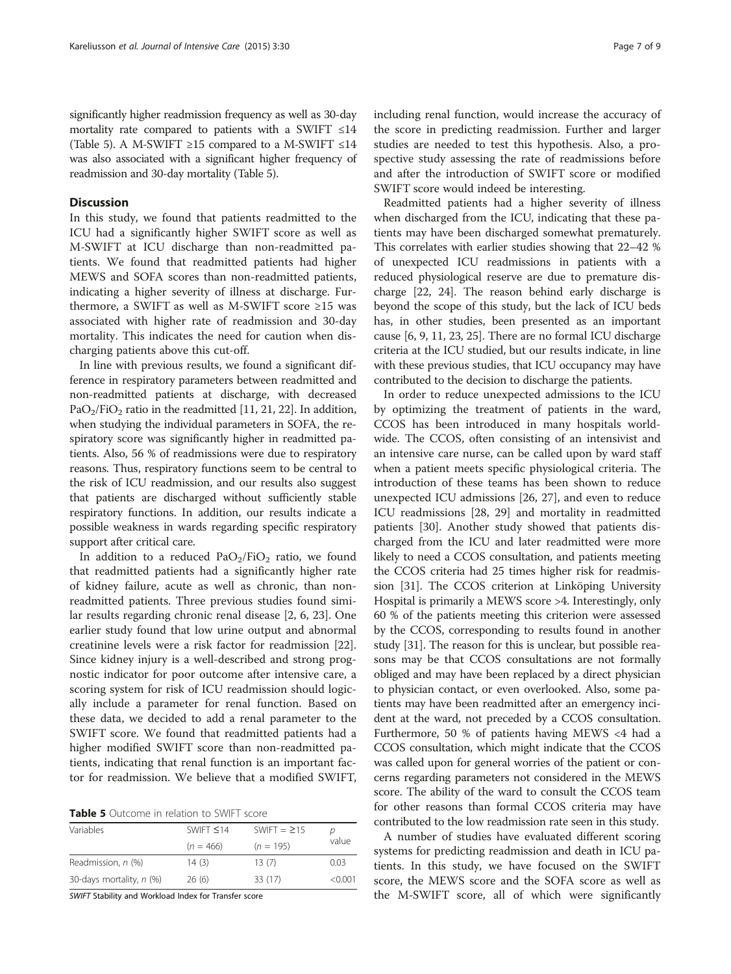significantly higher readmission frequency as well as 30-day mortality rate compared to patients with a SWIFT ≤14 (Table 5). A M-SWIFT ≥15 compared to a M-SWIFT ≤14 was also associated with a significant higher frequency of readmission and 30-day mortality (Table 5).

## **Discussion**

In this study, we found that patients readmitted to the ICU had a significantly higher SWIFT score as well as M-SWIFT at ICU discharge than non-readmitted patients. We found that readmitted patients had higher MEWS and SOFA scores than non-readmitted patients, indicating a higher severity of illness at discharge. Furthermore, a SWIFT as well as M-SWIFT score ≥15 was associated with higher rate of readmission and 30-day mortality. This indicates the need for caution when discharging patients above this cut-off.

In line with previous results, we found a significant difference in respiratory parameters between readmitted and non-readmitted patients at discharge, with decreased  $PaO<sub>2</sub>/FiO<sub>2</sub>$  ratio in the readmitted [\[11,](#page-7-0) [21](#page-8-0), [22\]](#page-8-0). In addition, when studying the individual parameters in SOFA, the respiratory score was significantly higher in readmitted patients. Also, 56 % of readmissions were due to respiratory reasons. Thus, respiratory functions seem to be central to the risk of ICU readmission, and our results also suggest that patients are discharged without sufficiently stable respiratory functions. In addition, our results indicate a possible weakness in wards regarding specific respiratory support after critical care.

In addition to a reduced  $PaO<sub>2</sub>/FiO<sub>2</sub>$  ratio, we found that readmitted patients had a significantly higher rate of kidney failure, acute as well as chronic, than nonreadmitted patients. Three previous studies found similar results regarding chronic renal disease [[2](#page-7-0), [6,](#page-7-0) [23\]](#page-8-0). One earlier study found that low urine output and abnormal creatinine levels were a risk factor for readmission [\[22](#page-8-0)]. Since kidney injury is a well-described and strong prognostic indicator for poor outcome after intensive care, a scoring system for risk of ICU readmission should logically include a parameter for renal function. Based on these data, we decided to add a renal parameter to the SWIFT score. We found that readmitted patients had a higher modified SWIFT score than non-readmitted patients, indicating that renal function is an important factor for readmission. We believe that a modified SWIFT,

| <b>Table 5</b> Outcome in relation to SWIFT score |
|---------------------------------------------------|
|---------------------------------------------------|

| Variables                | SWIFT $\leq$ 14 | SWIFT = $\geq$ 15 | D       |
|--------------------------|-----------------|-------------------|---------|
|                          | $(n = 466)$     | $(n = 195)$       | value   |
| Readmission, n (%)       | 14(3)           | 13(7)             | 0.03    |
| 30-days mortality, n (%) | 26(6)           | 33 (17)           | < 0.001 |
|                          |                 |                   |         |

SWIFT Stability and Workload Index for Transfer score

including renal function, would increase the accuracy of the score in predicting readmission. Further and larger studies are needed to test this hypothesis. Also, a prospective study assessing the rate of readmissions before and after the introduction of SWIFT score or modified SWIFT score would indeed be interesting.

Readmitted patients had a higher severity of illness when discharged from the ICU, indicating that these patients may have been discharged somewhat prematurely. This correlates with earlier studies showing that 22–42 % of unexpected ICU readmissions in patients with a reduced physiological reserve are due to premature discharge [[22](#page-8-0), [24\]](#page-8-0). The reason behind early discharge is beyond the scope of this study, but the lack of ICU beds has, in other studies, been presented as an important cause [\[6](#page-7-0), [9, 11](#page-7-0), [23, 25\]](#page-8-0). There are no formal ICU discharge criteria at the ICU studied, but our results indicate, in line with these previous studies, that ICU occupancy may have contributed to the decision to discharge the patients.

In order to reduce unexpected admissions to the ICU by optimizing the treatment of patients in the ward, CCOS has been introduced in many hospitals worldwide. The CCOS, often consisting of an intensivist and an intensive care nurse, can be called upon by ward staff when a patient meets specific physiological criteria. The introduction of these teams has been shown to reduce unexpected ICU admissions [\[26, 27](#page-8-0)], and even to reduce ICU readmissions [[28, 29](#page-8-0)] and mortality in readmitted patients [[30\]](#page-8-0). Another study showed that patients discharged from the ICU and later readmitted were more likely to need a CCOS consultation, and patients meeting the CCOS criteria had 25 times higher risk for readmission [\[31\]](#page-8-0). The CCOS criterion at Linköping University Hospital is primarily a MEWS score >4. Interestingly, only 60 % of the patients meeting this criterion were assessed by the CCOS, corresponding to results found in another study [\[31\]](#page-8-0). The reason for this is unclear, but possible reasons may be that CCOS consultations are not formally obliged and may have been replaced by a direct physician to physician contact, or even overlooked. Also, some patients may have been readmitted after an emergency incident at the ward, not preceded by a CCOS consultation. Furthermore, 50 % of patients having MEWS <4 had a CCOS consultation, which might indicate that the CCOS was called upon for general worries of the patient or concerns regarding parameters not considered in the MEWS score. The ability of the ward to consult the CCOS team for other reasons than formal CCOS criteria may have contributed to the low readmission rate seen in this study.

A number of studies have evaluated different scoring systems for predicting readmission and death in ICU patients. In this study, we have focused on the SWIFT score, the MEWS score and the SOFA score as well as the M-SWIFT score, all of which were significantly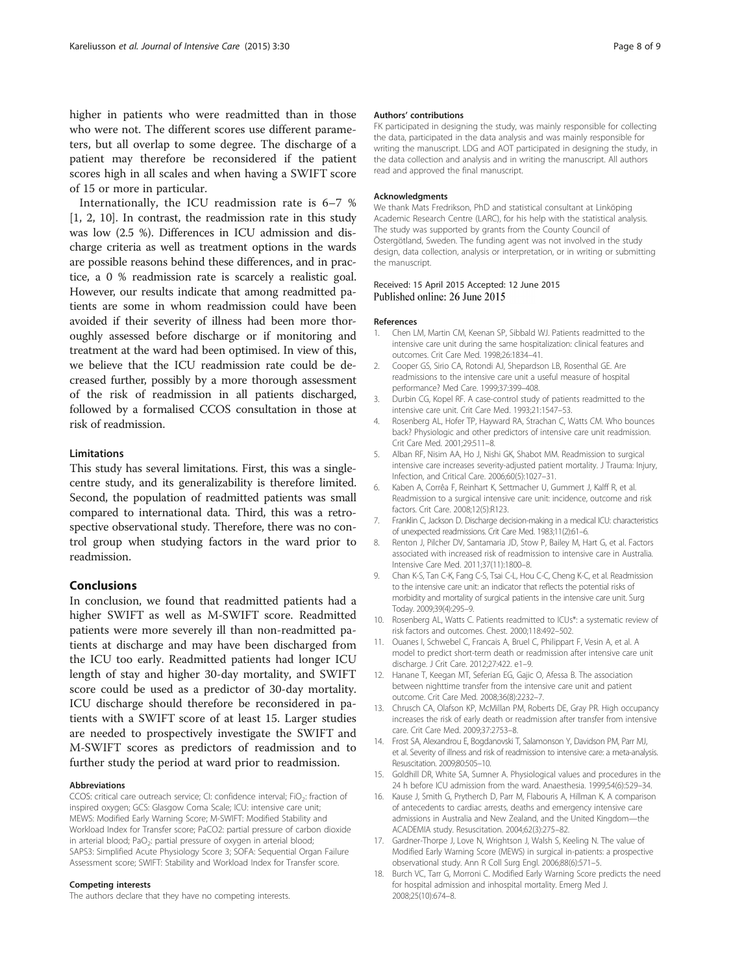<span id="page-7-0"></span>higher in patients who were readmitted than in those who were not. The different scores use different parameters, but all overlap to some degree. The discharge of a patient may therefore be reconsidered if the patient scores high in all scales and when having a SWIFT score of 15 or more in particular.

Internationally, the ICU readmission rate is 6–7 % [1, 2, 10]. In contrast, the readmission rate in this study was low (2.5 %). Differences in ICU admission and discharge criteria as well as treatment options in the wards are possible reasons behind these differences, and in practice, a 0 % readmission rate is scarcely a realistic goal. However, our results indicate that among readmitted patients are some in whom readmission could have been avoided if their severity of illness had been more thoroughly assessed before discharge or if monitoring and treatment at the ward had been optimised. In view of this, we believe that the ICU readmission rate could be decreased further, possibly by a more thorough assessment of the risk of readmission in all patients discharged, followed by a formalised CCOS consultation in those at risk of readmission.

#### Limitations

This study has several limitations. First, this was a singlecentre study, and its generalizability is therefore limited. Second, the population of readmitted patients was small compared to international data. Third, this was a retrospective observational study. Therefore, there was no control group when studying factors in the ward prior to readmission.

## Conclusions

In conclusion, we found that readmitted patients had a higher SWIFT as well as M-SWIFT score. Readmitted patients were more severely ill than non-readmitted patients at discharge and may have been discharged from the ICU too early. Readmitted patients had longer ICU length of stay and higher 30-day mortality, and SWIFT score could be used as a predictor of 30-day mortality. ICU discharge should therefore be reconsidered in patients with a SWIFT score of at least 15. Larger studies are needed to prospectively investigate the SWIFT and M-SWIFT scores as predictors of readmission and to further study the period at ward prior to readmission.

#### Abbreviations

CCOS: critical care outreach service; CI: confidence interval;  $FiO<sub>2</sub>$ : fraction of inspired oxygen; GCS: Glasgow Coma Scale; ICU: intensive care unit; MEWS: Modified Early Warning Score; M-SWIFT: Modified Stability and Workload Index for Transfer score; PaCO2: partial pressure of carbon dioxide in arterial blood; PaO<sub>2</sub>: partial pressure of oxygen in arterial blood; SAPS3: Simplified Acute Physiology Score 3; SOFA: Sequential Organ Failure Assessment score; SWIFT: Stability and Workload Index for Transfer score.

#### Competing interests

The authors declare that they have no competing interests.

#### Authors' contributions

FK participated in designing the study, was mainly responsible for collecting the data, participated in the data analysis and was mainly responsible for writing the manuscript. LDG and AOT participated in designing the study, in the data collection and analysis and in writing the manuscript. All authors read and approved the final manuscript.

#### Acknowledgments

We thank Mats Fredrikson, PhD and statistical consultant at Linköping Academic Research Centre (LARC), for his help with the statistical analysis. The study was supported by grants from the County Council of Östergötland, Sweden. The funding agent was not involved in the study design, data collection, analysis or interpretation, or in writing or submitting the manuscript.

#### Received: 15 April 2015 Accepted: 12 June 2015 Published online: 26 June 2015

#### References

- 1. Chen LM, Martin CM, Keenan SP, Sibbald WJ. Patients readmitted to the intensive care unit during the same hospitalization: clinical features and outcomes. Crit Care Med. 1998;26:1834–41.
- 2. Cooper GS, Sirio CA, Rotondi AJ, Shepardson LB, Rosenthal GE. Are readmissions to the intensive care unit a useful measure of hospital performance? Med Care. 1999;37:399–408.
- 3. Durbin CG, Kopel RF. A case-control study of patients readmitted to the intensive care unit. Crit Care Med. 1993;21:1547–53.
- 4. Rosenberg AL, Hofer TP, Hayward RA, Strachan C, Watts CM. Who bounces back? Physiologic and other predictors of intensive care unit readmission. Crit Care Med. 2001;29:511–8.
- 5. Alban RF, Nisim AA, Ho J, Nishi GK, Shabot MM. Readmission to surgical intensive care increases severity-adjusted patient mortality. J Trauma: Injury, Infection, and Critical Care. 2006;60(5):1027–31.
- 6. Kaben A, Corrêa F, Reinhart K, Settmacher U, Gummert J, Kalff R, et al. Readmission to a surgical intensive care unit: incidence, outcome and risk factors. Crit Care. 2008;12(5):R123.
- 7. Franklin C, Jackson D. Discharge decision-making in a medical ICU: characteristics of unexpected readmissions. Crit Care Med. 1983;11(2):61–6.
- 8. Renton J, Pilcher DV, Santamaria JD, Stow P, Bailey M, Hart G, et al. Factors associated with increased risk of readmission to intensive care in Australia. Intensive Care Med. 2011;37(11):1800–8.
- 9. Chan K-S, Tan C-K, Fang C-S, Tsai C-L, Hou C-C, Cheng K-C, et al. Readmission to the intensive care unit: an indicator that reflects the potential risks of morbidity and mortality of surgical patients in the intensive care unit. Surg Today. 2009;39(4):295–9.
- 10. Rosenberg AL, Watts C. Patients readmitted to ICUs\*: a systematic review of risk factors and outcomes. Chest. 2000;118:492–502.
- 11. Ouanes I, Schwebel C, Francais A, Bruel C, Philippart F, Vesin A, et al. A model to predict short-term death or readmission after intensive care unit discharge. J Crit Care. 2012;27:422. e1–9.
- 12. Hanane T, Keegan MT, Seferian EG, Gajic O, Afessa B. The association between nighttime transfer from the intensive care unit and patient outcome. Crit Care Med. 2008;36(8):2232–7.
- 13. Chrusch CA, Olafson KP, McMillan PM, Roberts DE, Gray PR. High occupancy increases the risk of early death or readmission after transfer from intensive care. Crit Care Med. 2009;37:2753–8.
- 14. Frost SA, Alexandrou E, Bogdanovski T, Salamonson Y, Davidson PM, Parr MJ, et al. Severity of illness and risk of readmission to intensive care: a meta-analysis. Resuscitation. 2009;80:505–10.
- 15. Goldhill DR, White SA, Sumner A. Physiological values and procedures in the 24 h before ICU admission from the ward. Anaesthesia. 1999;54(6):529–34.
- 16. Kause J, Smith G, Prytherch D, Parr M, Flabouris A, Hillman K. A comparison of antecedents to cardiac arrests, deaths and emergency intensive care admissions in Australia and New Zealand, and the United Kingdom—the ACADEMIA study. Resuscitation. 2004;62(3):275–82.
- 17. Gardner-Thorpe J, Love N, Wrightson J, Walsh S, Keeling N. The value of Modified Early Warning Score (MEWS) in surgical in-patients: a prospective observational study. Ann R Coll Surg Engl. 2006;88(6):571–5.
- 18. Burch VC, Tarr G, Morroni C. Modified Early Warning Score predicts the need for hospital admission and inhospital mortality. Emerg Med J. 2008;25(10):674–8.